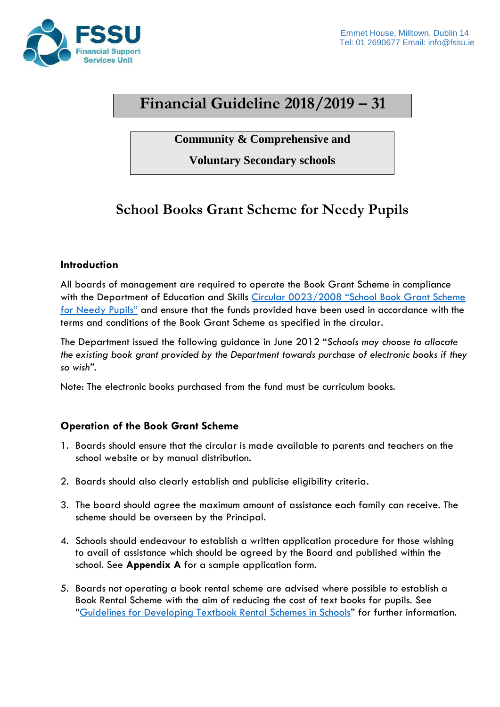

# **Financial Guideline 2018/2019 – 31**

**Community & Comprehensive and**

**Voluntary Secondary schools**

# **School Books Grant Scheme for Needy Pupils**

### **Introduction**

All boards of management are required to operate the Book Grant Scheme in compliance with the Department of Education and Skills Circular 0023/2008 "School Book Grant Scheme [for Needy Pupils"](https://www.fssu.ie/app/uploads/2019/05/cl0023_2008_School-Book-Grant-for-Needy-Pupils.pdf) and ensure that the funds provided have been used in accordance with the terms and conditions of the Book Grant Scheme as specified in the circular.

The Department issued the following guidance in June 2012 "*Schools may choose to allocate the existing book grant provided by the Department towards purchase of electronic books if they so wish".* 

Note: The electronic books purchased from the fund must be curriculum books.

### **Operation of the Book Grant Scheme**

- 1. Boards should ensure that the circular is made available to parents and teachers on the school website or by manual distribution.
- 2. Boards should also clearly establish and publicise eligibility criteria.
- 3. The board should agree the maximum amount of assistance each family can receive. The scheme should be overseen by the Principal.
- 4. Schools should endeavour to establish a written application procedure for those wishing to avail of assistance which should be agreed by the Board and published within the school. See **Appendix A** for a sample application form.
- 5. Boards not operating a book rental scheme are advised where possible to establish a Book Rental Scheme with the aim of reducing the cost of text books for pupils. See "[Guidelines for Developing Textbook Rental Schemes in Schools](https://www.fssu.ie/app/uploads/2019/05/Guidelines-for-Developing-Textbook-Rental-Schemes-in-Schools.pdf)" for further information.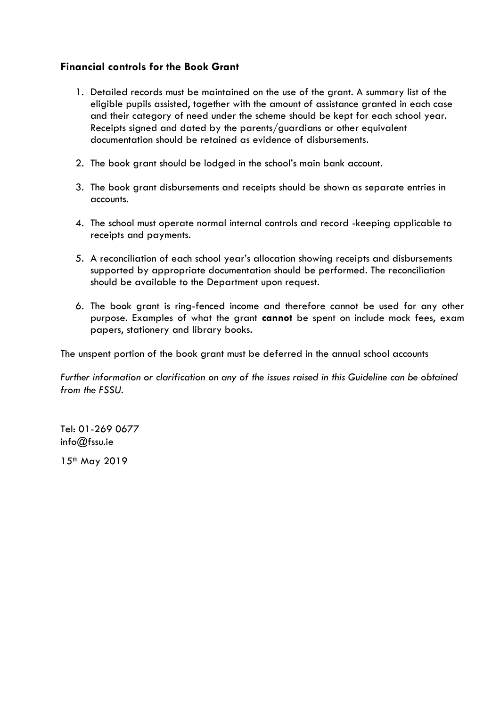### **Financial controls for the Book Grant**

- 1. Detailed records must be maintained on the use of the grant. A summary list of the eligible pupils assisted, together with the amount of assistance granted in each case and their category of need under the scheme should be kept for each school year. Receipts signed and dated by the parents/guardians or other equivalent documentation should be retained as evidence of disbursements.
- 2. The book grant should be lodged in the school's main bank account.
- 3. The book grant disbursements and receipts should be shown as separate entries in accounts.
- 4. The school must operate normal internal controls and record -keeping applicable to receipts and payments.
- 5. A reconciliation of each school year's allocation showing receipts and disbursements supported by appropriate documentation should be performed. The reconciliation should be available to the Department upon request.
- 6. The book grant is ring-fenced income and therefore cannot be used for any other purpose. Examples of what the grant **cannot** be spent on include mock fees, exam papers, stationery and library books.

The unspent portion of the book grant must be deferred in the annual school accounts

*Further information or clarification on any of the issues raised in this Guideline can be obtained from the FSSU.* 

Tel: 01-269 0677 info@fssu.ie

15th May 2019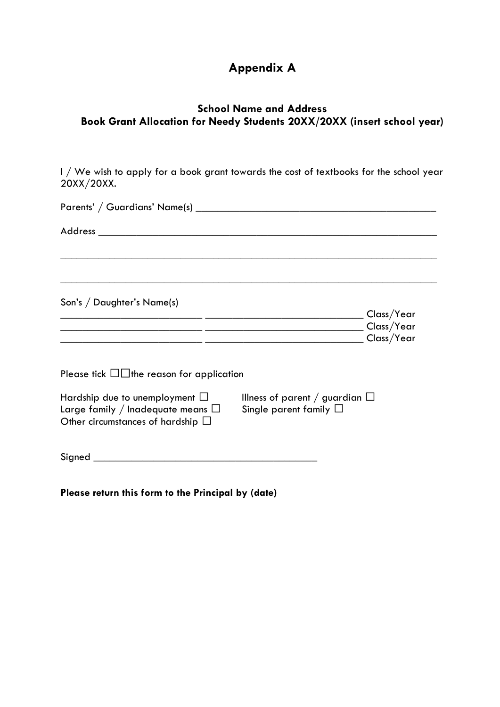## **Appendix A**

### **School Name and Address Book Grant Allocation for Needy Students 20XX/20XX (insert school year)**

I / We wish to apply for a book grant towards the cost of textbooks for the school year 20XX/20XX.

|                                                                                                                                | __ Class/Year<br>Class/Year<br>Class/Year |
|--------------------------------------------------------------------------------------------------------------------------------|-------------------------------------------|
| Please tick $\square \square$ the reason for application<br>Illness of parent / guardian $\Box$<br>Single parent family $\Box$ |                                           |
|                                                                                                                                |                                           |

 $Signal$ 

**Please return this form to the Principal by (date)**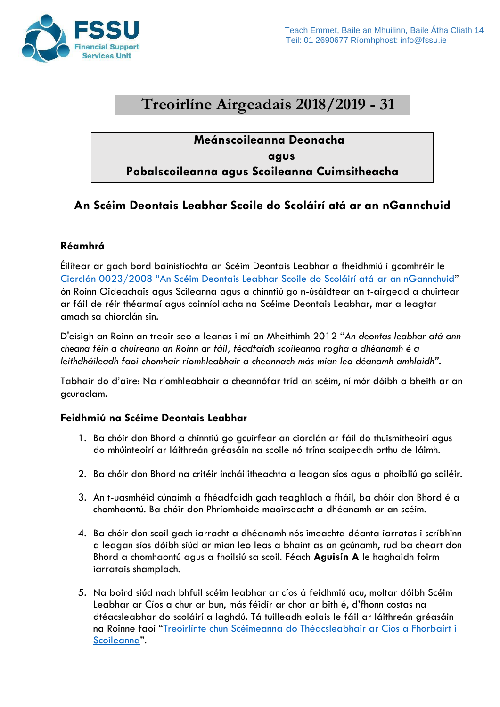

# **Treoirlíne Airgeadais 2018/2019 - 31**

### **Meánscoileanna Deonacha agus Pobalscoileanna agus Scoileanna Cuimsitheacha**

## **An Scéim Deontais Leabhar Scoile do Scoláirí atá ar an nGannchuid**

### **Réamhrá**

Éilítear ar gach bord bainistíochta an Scéim Deontais Leabhar a fheidhmiú i gcomhréir le C[iorclán 0023/2008 "An Scéim Deontais Leabhar Scoile do Scoláirí atá](https://www.fssu.ie/app/uploads/2019/05/cl0023_2008_School-Book-Grant-for-Needy-Pupils.pdf) ar an nGannchuid" ón Roinn Oideachais agus Scileanna agus a chinntiú go n-úsáidtear an t-airgead a chuirtear ar fáil de réir théarmaí agus coinníollacha na Scéime Deontais Leabhar, mar a leagtar amach sa chiorclán sin.

D'eisigh an Roinn an treoir seo a leanas i mí an Mheithimh 2012 "*An deontas leabhar atá ann cheana féin a chuireann an Roinn ar fáil, féadfaidh scoileanna rogha a dhéanamh é a leithdháileadh faoi chomhair ríomhleabhair a cheannach más mian leo déanamh amhlaidh".* 

Tabhair do d'aire: Na ríomhleabhair a cheannófar tríd an scéim, ní mór dóibh a bheith ar an gcuraclam.

### **Feidhmiú na Scéime Deontais Leabhar**

- 1. Ba chóir don Bhord a chinntiú go gcuirfear an ciorclán ar fáil do thuismitheoirí agus do mhúinteoirí ar láithreán gréasáin na scoile nó trína scaipeadh orthu de láimh.
- 2. Ba chóir don Bhord na critéir incháilitheachta a leagan síos agus a phoibliú go soiléir.
- 3. An t-uasmhéid cúnaimh a fhéadfaidh gach teaghlach a fháil, ba chóir don Bhord é a chomhaontú. Ba chóir don Phríomhoide maoirseacht a dhéanamh ar an scéim.
- 4. Ba chóir don scoil gach iarracht a dhéanamh nós imeachta déanta iarratas i scríbhinn a leagan síos dóibh siúd ar mian leo leas a bhaint as an gcúnamh, rud ba cheart don Bhord a chomhaontú agus a fhoilsiú sa scoil. Féach **Aguisín A** le haghaidh foirm iarratais shamplach.
- 5. Na boird siúd nach bhfuil scéim leabhar ar cíos á feidhmiú acu, moltar dóibh Scéim Leabhar ar Cíos a chur ar bun, más féidir ar chor ar bith é, d'fhonn costas na dtéacsleabhar do scoláirí a laghdú. Tá tuilleadh eolais le fáil ar láithreán gréasáin na Roinne faoi "[Treoirlínte chun Scéimeanna do Théacsleabhair ar Cíos a Fhorbairt i](https://www.fssu.ie/app/uploads/2019/05/Guidelines-for-Developing-Textbook-Rental-Schemes-in-Schools.pdf)  [Scoileanna](https://www.fssu.ie/app/uploads/2019/05/Guidelines-for-Developing-Textbook-Rental-Schemes-in-Schools.pdf)".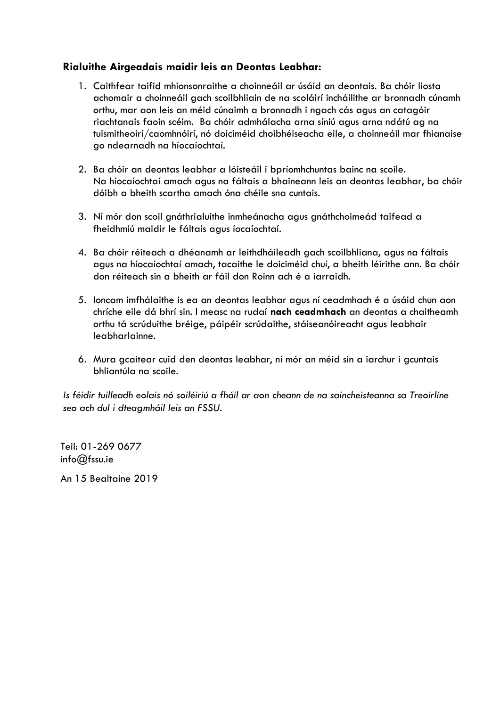### **Rialuithe Airgeadais maidir leis an Deontas Leabhar:**

- 1. Caithfear taifid mhionsonraithe a choinneáil ar úsáid an deontais. Ba chóir liosta achomair a choinneáil gach scoilbhliain de na scoláirí incháilithe ar bronnadh cúnamh orthu, mar aon leis an méid cúnaimh a bronnadh i ngach cás agus an catagóir riachtanais faoin scéim. Ba chóir admhálacha arna síniú agus arna ndátú ag na tuismitheoirí/caomhnóirí, nó doiciméid choibhéiseacha eile, a choinneáil mar fhianaise go ndearnadh na híocaíochtaí.
- 2. Ba chóir an deontas leabhar a lóisteáil i bpríomhchuntas bainc na scoile. Na híocaíochtaí amach agus na fáltais a bhaineann leis an deontas leabhar, ba chóir dóibh a bheith scartha amach óna chéile sna cuntais.
- 3. Ní mór don scoil gnáthrialuithe inmheánacha agus gnáthchoimeád taifead a fheidhmiú maidir le fáltais agus íocaíochtaí.
- 4. Ba chóir réiteach a dhéanamh ar leithdháileadh gach scoilbhliana, agus na fáltais agus na híocaíochtaí amach, tacaithe le doiciméid chuí, a bheith léirithe ann. Ba chóir don réiteach sin a bheith ar fáil don Roinn ach é a iarraidh.
- 5. Ioncam imfhálaithe is ea an deontas leabhar agus ní ceadmhach é a úsáid chun aon chríche eile dá bhrí sin. I measc na rudaí **nach ceadmhach** an deontas a chaitheamh orthu tá scrúduithe bréige, páipéir scrúdaithe, stáiseanóireacht agus leabhair leabharlainne.
- 6. Mura gcaitear cuid den deontas leabhar, ní mór an méid sin a iarchur i gcuntais bhliantúla na scoile.

*Is féidir tuilleadh eolais nó soiléiriú a fháil ar aon cheann de na saincheisteanna sa Treoirlíne seo ach dul i dteagmháil leis an FSSU.* 

Teil: 01-269 0677 info@fssu.ie

An 15 Bealtaine 2019